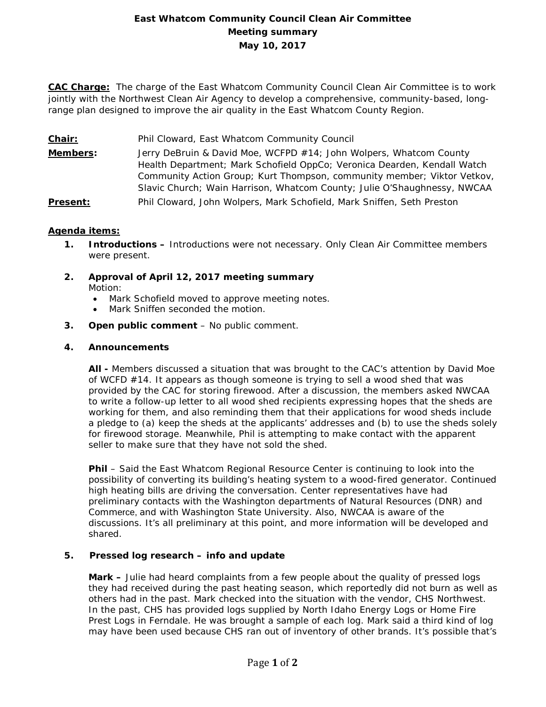# **East Whatcom Community Council Clean Air Committee Meeting summary May 10, 2017**

**CAC Charge:** The charge of the East Whatcom Community Council Clean Air Committee is to work jointly with the Northwest Clean Air Agency to develop a comprehensive, community-based, longrange plan designed to improve the air quality in the East Whatcom County Region.

- **Chair:** Phil Cloward, East Whatcom Community Council
- **Members:** Jerry DeBruin & David Moe, WCFPD #14; John Wolpers, Whatcom County Health Department; Mark Schofield OppCo; Veronica Dearden, Kendall Watch Community Action Group; Kurt Thompson, community member; Viktor Vetkov, Slavic Church; Wain Harrison, Whatcom County; Julie O'Shaughnessy, NWCAA
- **Present:** Phil Cloward, John Wolpers, Mark Schofield, Mark Sniffen, Seth Preston

## **Agenda items:**

- **1. Introductions –** Introductions were not necessary. Only Clean Air Committee members were present.
- **2. Approval of April 12, 2017 meeting summary** Motion:
	- Mark Schofield moved to approve meeting notes.
	- Mark Sniffen seconded the motion.
- **3. Open public comment**  No public comment.

## **4. Announcements**

**All -** Members discussed a situation that was brought to the CAC's attention by David Moe of WCFD #14. It appears as though someone is trying to sell a wood shed that was provided by the CAC for storing firewood. After a discussion, the members asked NWCAA to write a follow-up letter to all wood shed recipients expressing hopes that the sheds are working for them, and also reminding them that their applications for wood sheds include a pledge to (a) keep the sheds at the applicants' addresses and (b) to use the sheds solely for firewood storage. Meanwhile, Phil is attempting to make contact with the apparent seller to make sure that they have not sold the shed.

**Phil** – Said the East Whatcom Regional Resource Center is continuing to look into the possibility of converting its building's heating system to a wood-fired generator. Continued high heating bills are driving the conversation. Center representatives have had preliminary contacts with the Washington departments of Natural Resources (DNR) and Commerce, and with Washington State University. Also, NWCAA is aware of the discussions. It's all preliminary at this point, and more information will be developed and shared.

#### **5. Pressed log research – info and update**

**Mark –** Julie had heard complaints from a few people about the quality of pressed logs they had received during the past heating season, which reportedly did not burn as well as others had in the past. Mark checked into the situation with the vendor, CHS Northwest. In the past, CHS has provided logs supplied by North Idaho Energy Logs or Home Fire Prest Logs in Ferndale. He was brought a sample of each log. Mark said a third kind of log may have been used because CHS ran out of inventory of other brands. It's possible that's